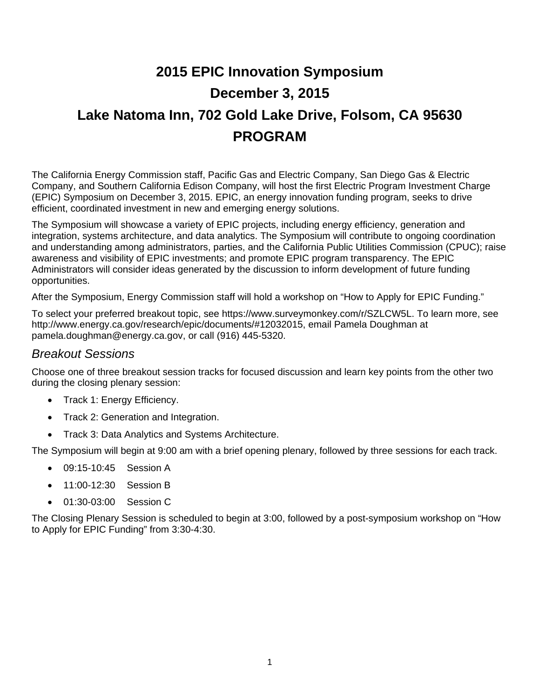# **2015 EPIC Innovation Symposium December 3, 2015 Lake Natoma Inn, 702 Gold Lake Drive, Folsom, CA 95630 PROGRAM**

The California Energy Commission staff, Pacific Gas and Electric Company, San Diego Gas & Electric Company, and Southern California Edison Company, will host the first Electric Program Investment Charge (EPIC) Symposium on December 3, 2015. EPIC, an energy innovation funding program, seeks to drive efficient, coordinated investment in new and emerging energy solutions.

The Symposium will showcase a variety of EPIC projects, including energy efficiency, generation and integration, systems architecture, and data analytics. The Symposium will contribute to ongoing coordination and understanding among administrators, parties, and the California Public Utilities Commission (CPUC); raise awareness and visibility of EPIC investments; and promote EPIC program transparency. The EPIC Administrators will consider ideas generated by the discussion to inform development of future funding opportunities.

After the Symposium, Energy Commission staff will hold a workshop on "How to Apply for EPIC Funding."

To select your preferred breakout topic, see https://www.surveymonkey.com/r/SZLCW5L. To learn more, see http://www.energy.ca.gov/research/epic/documents/#12032015, email Pamela Doughman at pamela.doughman@energy.ca.gov, or call (916) 445-5320.

## *Breakout Sessions*

Choose one of three breakout session tracks for focused discussion and learn key points from the other two during the closing plenary session:

- Track 1: Energy Efficiency.
- Track 2: Generation and Integration.
- Track 3: Data Analytics and Systems Architecture.

The Symposium will begin at 9:00 am with a brief opening plenary, followed by three sessions for each track.

- 09:15-10:45 Session A
- 11:00-12:30 Session B
- 01:30-03:00 Session C

The Closing Plenary Session is scheduled to begin at 3:00, followed by a post-symposium workshop on "How to Apply for EPIC Funding" from 3:30-4:30.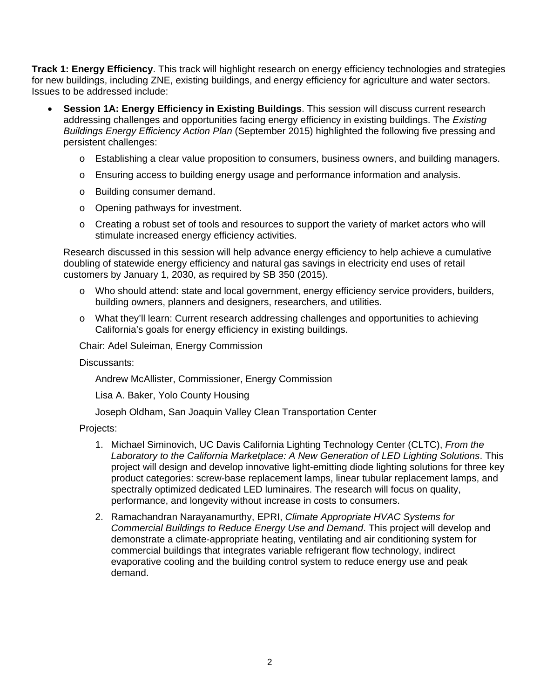**Track 1: Energy Efficiency**. This track will highlight research on energy efficiency technologies and strategies for new buildings, including ZNE, existing buildings, and energy efficiency for agriculture and water sectors. Issues to be addressed include:

- **Session 1A: Energy Efficiency in Existing Buildings**. This session will discuss current research addressing challenges and opportunities facing energy efficiency in existing buildings. The *Existing Buildings Energy Efficiency Action Plan* (September 2015) highlighted the following five pressing and persistent challenges:
	- o Establishing a clear value proposition to consumers, business owners, and building managers.
	- o Ensuring access to building energy usage and performance information and analysis.
	- o Building consumer demand.
	- o Opening pathways for investment.
	- $\circ$  Creating a robust set of tools and resources to support the variety of market actors who will stimulate increased energy efficiency activities.

Research discussed in this session will help advance energy efficiency to help achieve a cumulative doubling of statewide energy efficiency and natural gas savings in electricity end uses of retail customers by January 1, 2030, as required by SB 350 (2015).

- o Who should attend: state and local government, energy efficiency service providers, builders, building owners, planners and designers, researchers, and utilities.
- o What they'll learn: Current research addressing challenges and opportunities to achieving California's goals for energy efficiency in existing buildings.

Chair: Adel Suleiman, Energy Commission

#### Discussants:

Andrew McAllister, Commissioner, Energy Commission

Lisa A. Baker, Yolo County Housing

Joseph Oldham, San Joaquin Valley Clean Transportation Center

- 1. Michael Siminovich, UC Davis California Lighting Technology Center (CLTC), *From the Laboratory to the California Marketplace: A New Generation of LED Lighting Solutions*. This project will design and develop innovative light-emitting diode lighting solutions for three key product categories: screw-base replacement lamps, linear tubular replacement lamps, and spectrally optimized dedicated LED luminaires. The research will focus on quality, performance, and longevity without increase in costs to consumers.
- 2. Ramachandran Narayanamurthy, EPRI, *Climate Appropriate HVAC Systems for Commercial Buildings to Reduce Energy Use and Demand*. This project will develop and demonstrate a climate-appropriate heating, ventilating and air conditioning system for commercial buildings that integrates variable refrigerant flow technology, indirect evaporative cooling and the building control system to reduce energy use and peak demand.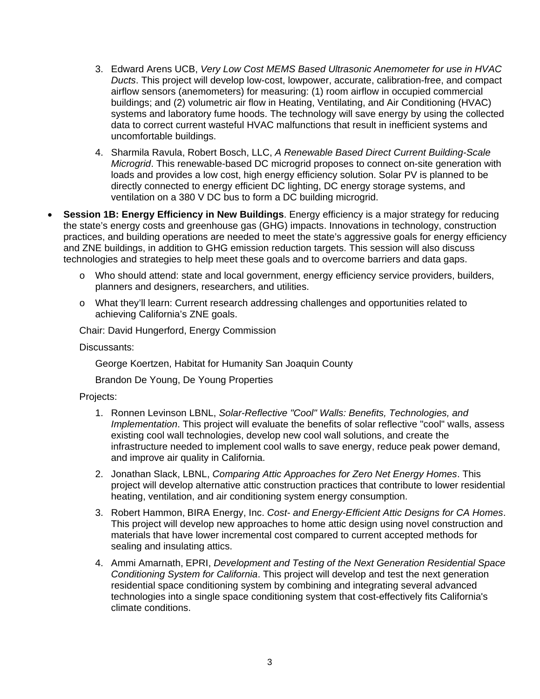- 3. Edward Arens UCB, *Very Low Cost MEMS Based Ultrasonic Anemometer for use in HVAC Ducts*. This project will develop low-cost, lowpower, accurate, calibration-free, and compact airflow sensors (anemometers) for measuring: (1) room airflow in occupied commercial buildings; and (2) volumetric air flow in Heating, Ventilating, and Air Conditioning (HVAC) systems and laboratory fume hoods. The technology will save energy by using the collected data to correct current wasteful HVAC malfunctions that result in inefficient systems and uncomfortable buildings.
- 4. Sharmila Ravula, Robert Bosch, LLC, *A Renewable Based Direct Current Building-Scale Microgrid*. This renewable-based DC microgrid proposes to connect on-site generation with loads and provides a low cost, high energy efficiency solution. Solar PV is planned to be directly connected to energy efficient DC lighting, DC energy storage systems, and ventilation on a 380 V DC bus to form a DC building microgrid.
- **Session 1B: Energy Efficiency in New Buildings**. Energy efficiency is a major strategy for reducing the state's energy costs and greenhouse gas (GHG) impacts. Innovations in technology, construction practices, and building operations are needed to meet the state's aggressive goals for energy efficiency and ZNE buildings, in addition to GHG emission reduction targets. This session will also discuss technologies and strategies to help meet these goals and to overcome barriers and data gaps.
	- o Who should attend: state and local government, energy efficiency service providers, builders, planners and designers, researchers, and utilities.
	- o What they'll learn: Current research addressing challenges and opportunities related to achieving California's ZNE goals.

Chair: David Hungerford, Energy Commission

Discussants:

George Koertzen, Habitat for Humanity San Joaquin County

Brandon De Young, De Young Properties

- 1. Ronnen Levinson LBNL, *Solar-Reflective "Cool" Walls: Benefits, Technologies, and Implementation*. This project will evaluate the benefits of solar reflective "cool" walls, assess existing cool wall technologies, develop new cool wall solutions, and create the infrastructure needed to implement cool walls to save energy, reduce peak power demand, and improve air quality in California.
- 2. Jonathan Slack, LBNL, *Comparing Attic Approaches for Zero Net Energy Homes*. This project will develop alternative attic construction practices that contribute to lower residential heating, ventilation, and air conditioning system energy consumption.
- 3. Robert Hammon, BIRA Energy, Inc. *Cost- and Energy-Efficient Attic Designs for CA Homes*. This project will develop new approaches to home attic design using novel construction and materials that have lower incremental cost compared to current accepted methods for sealing and insulating attics.
- 4. Ammi Amarnath, EPRI, *Development and Testing of the Next Generation Residential Space Conditioning System for California*. This project will develop and test the next generation residential space conditioning system by combining and integrating several advanced technologies into a single space conditioning system that cost-effectively fits California's climate conditions.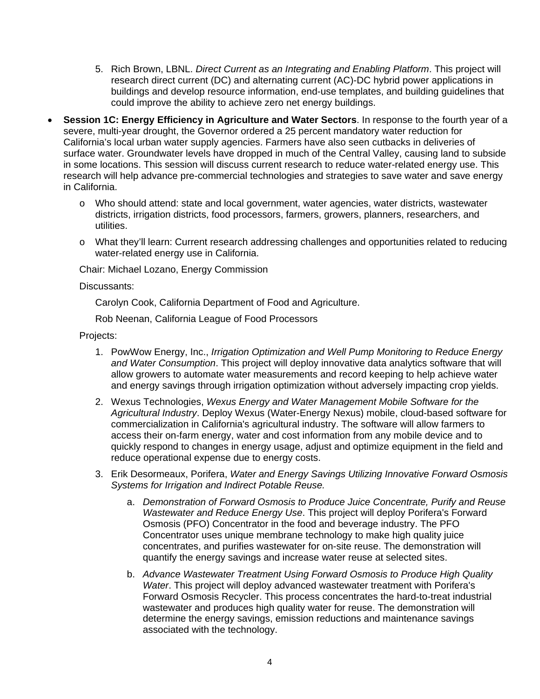- 5. Rich Brown, LBNL. *Direct Current as an Integrating and Enabling Platform*. This project will research direct current (DC) and alternating current (AC)-DC hybrid power applications in buildings and develop resource information, end-use templates, and building guidelines that could improve the ability to achieve zero net energy buildings.
- **Session 1C: Energy Efficiency in Agriculture and Water Sectors**. In response to the fourth year of a severe, multi-year drought, the Governor ordered a 25 percent mandatory water reduction for California's local urban water supply agencies. Farmers have also seen cutbacks in deliveries of surface water. Groundwater levels have dropped in much of the Central Valley, causing land to subside in some locations. This session will discuss current research to reduce water-related energy use. This research will help advance pre-commercial technologies and strategies to save water and save energy in California.
	- o Who should attend: state and local government, water agencies, water districts, wastewater districts, irrigation districts, food processors, farmers, growers, planners, researchers, and utilities.
	- o What they'll learn: Current research addressing challenges and opportunities related to reducing water-related energy use in California.

Chair: Michael Lozano, Energy Commission

#### Discussants:

Carolyn Cook, California Department of Food and Agriculture.

Rob Neenan, California League of Food Processors

- 1. PowWow Energy, Inc., *Irrigation Optimization and Well Pump Monitoring to Reduce Energy and Water Consumption*. This project will deploy innovative data analytics software that will allow growers to automate water measurements and record keeping to help achieve water and energy savings through irrigation optimization without adversely impacting crop yields.
- 2. Wexus Technologies, *Wexus Energy and Water Management Mobile Software for the Agricultural Industry*. Deploy Wexus (Water-Energy Nexus) mobile, cloud-based software for commercialization in California's agricultural industry. The software will allow farmers to access their on-farm energy, water and cost information from any mobile device and to quickly respond to changes in energy usage, adjust and optimize equipment in the field and reduce operational expense due to energy costs.
- 3. Erik Desormeaux, Porifera, *Water and Energy Savings Utilizing Innovative Forward Osmosis Systems for Irrigation and Indirect Potable Reuse.*
	- a. *Demonstration of Forward Osmosis to Produce Juice Concentrate, Purify and Reuse Wastewater and Reduce Energy Use*. This project will deploy Porifera's Forward Osmosis (PFO) Concentrator in the food and beverage industry. The PFO Concentrator uses unique membrane technology to make high quality juice concentrates, and purifies wastewater for on-site reuse. The demonstration will quantify the energy savings and increase water reuse at selected sites.
	- b. *Advance Wastewater Treatment Using Forward Osmosis to Produce High Quality Water*. This project will deploy advanced wastewater treatment with Porifera's Forward Osmosis Recycler. This process concentrates the hard-to-treat industrial wastewater and produces high quality water for reuse. The demonstration will determine the energy savings, emission reductions and maintenance savings associated with the technology.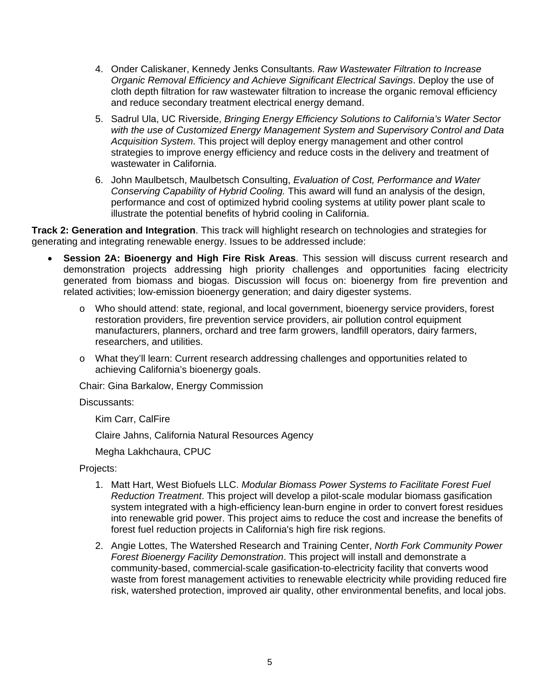- 4. Onder Caliskaner, Kennedy Jenks Consultants. *Raw Wastewater Filtration to Increase Organic Removal Efficiency and Achieve Significant Electrical Savings*. Deploy the use of cloth depth filtration for raw wastewater filtration to increase the organic removal efficiency and reduce secondary treatment electrical energy demand.
- 5. Sadrul Ula, UC Riverside, *Bringing Energy Efficiency Solutions to California's Water Sector with the use of Customized Energy Management System and Supervisory Control and Data Acquisition System*. This project will deploy energy management and other control strategies to improve energy efficiency and reduce costs in the delivery and treatment of wastewater in California.
- 6. John Maulbetsch, Maulbetsch Consulting, *Evaluation of Cost, Performance and Water Conserving Capability of Hybrid Cooling.* This award will fund an analysis of the design, performance and cost of optimized hybrid cooling systems at utility power plant scale to illustrate the potential benefits of hybrid cooling in California.

**Track 2: Generation and Integration**. This track will highlight research on technologies and strategies for generating and integrating renewable energy. Issues to be addressed include:

- **Session 2A: Bioenergy and High Fire Risk Areas**. This session will discuss current research and demonstration projects addressing high priority challenges and opportunities facing electricity generated from biomass and biogas. Discussion will focus on: bioenergy from fire prevention and related activities; low-emission bioenergy generation; and dairy digester systems.
	- o Who should attend: state, regional, and local government, bioenergy service providers, forest restoration providers, fire prevention service providers, air pollution control equipment manufacturers, planners, orchard and tree farm growers, landfill operators, dairy farmers, researchers, and utilities.
	- o What they'll learn: Current research addressing challenges and opportunities related to achieving California's bioenergy goals.

Chair: Gina Barkalow, Energy Commission

Discussants:

Kim Carr, CalFire

Claire Jahns, California Natural Resources Agency

Megha Lakhchaura, CPUC

- 1. Matt Hart, West Biofuels LLC. *Modular Biomass Power Systems to Facilitate Forest Fuel Reduction Treatment*. This project will develop a pilot-scale modular biomass gasification system integrated with a high-efficiency lean-burn engine in order to convert forest residues into renewable grid power. This project aims to reduce the cost and increase the benefits of forest fuel reduction projects in California's high fire risk regions.
- 2. Angie Lottes, The Watershed Research and Training Center, *North Fork Community Power Forest Bioenergy Facility Demonstration*. This project will install and demonstrate a community-based, commercial-scale gasification-to-electricity facility that converts wood waste from forest management activities to renewable electricity while providing reduced fire risk, watershed protection, improved air quality, other environmental benefits, and local jobs.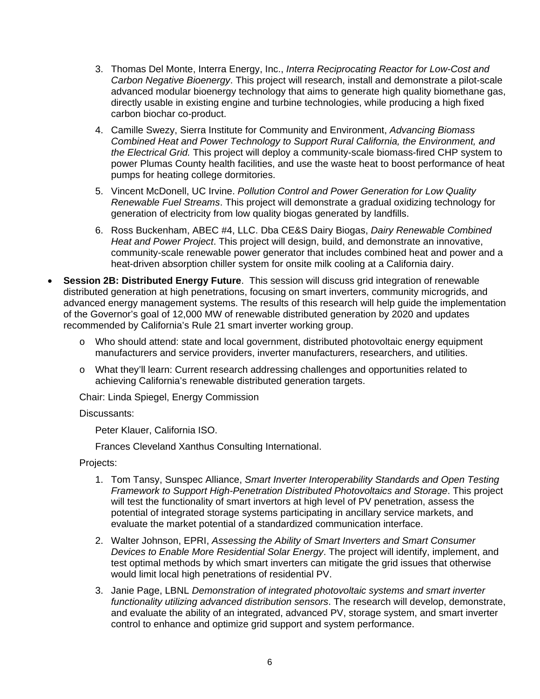- 3. Thomas Del Monte, Interra Energy, Inc., *Interra Reciprocating Reactor for Low-Cost and Carbon Negative Bioenergy*. This project will research, install and demonstrate a pilot-scale advanced modular bioenergy technology that aims to generate high quality biomethane gas, directly usable in existing engine and turbine technologies, while producing a high fixed carbon biochar co-product.
- 4. Camille Swezy, Sierra Institute for Community and Environment, *Advancing Biomass Combined Heat and Power Technology to Support Rural California, the Environment, and the Electrical Grid.* This project will deploy a community-scale biomass-fired CHP system to power Plumas County health facilities, and use the waste heat to boost performance of heat pumps for heating college dormitories.
- 5. Vincent McDonell, UC Irvine. *Pollution Control and Power Generation for Low Quality Renewable Fuel Streams*. This project will demonstrate a gradual oxidizing technology for generation of electricity from low quality biogas generated by landfills.
- 6. Ross Buckenham, ABEC #4, LLC. Dba CE&S Dairy Biogas, *Dairy Renewable Combined Heat and Power Project*. This project will design, build, and demonstrate an innovative, community-scale renewable power generator that includes combined heat and power and a heat-driven absorption chiller system for onsite milk cooling at a California dairy.
- **Session 2B: Distributed Energy Future**. This session will discuss grid integration of renewable distributed generation at high penetrations, focusing on smart inverters, community microgrids, and advanced energy management systems. The results of this research will help guide the implementation of the Governor's goal of 12,000 MW of renewable distributed generation by 2020 and updates recommended by California's Rule 21 smart inverter working group.
	- o Who should attend: state and local government, distributed photovoltaic energy equipment manufacturers and service providers, inverter manufacturers, researchers, and utilities.
	- o What they'll learn: Current research addressing challenges and opportunities related to achieving California's renewable distributed generation targets.

Chair: Linda Spiegel, Energy Commission

#### Discussants:

Peter Klauer, California ISO.

Frances Cleveland Xanthus Consulting International.

- 1. Tom Tansy, Sunspec Alliance, *Smart Inverter Interoperability Standards and Open Testing Framework to Support High-Penetration Distributed Photovoltaics and Storage*. This project will test the functionality of smart invertors at high level of PV penetration, assess the potential of integrated storage systems participating in ancillary service markets, and evaluate the market potential of a standardized communication interface.
- 2. Walter Johnson, EPRI, *Assessing the Ability of Smart Inverters and Smart Consumer Devices to Enable More Residential Solar Energy*. The project will identify, implement, and test optimal methods by which smart inverters can mitigate the grid issues that otherwise would limit local high penetrations of residential PV.
- 3. Janie Page, LBNL *Demonstration of integrated photovoltaic systems and smart inverter functionality utilizing advanced distribution sensors*. The research will develop, demonstrate, and evaluate the ability of an integrated, advanced PV, storage system, and smart inverter control to enhance and optimize grid support and system performance.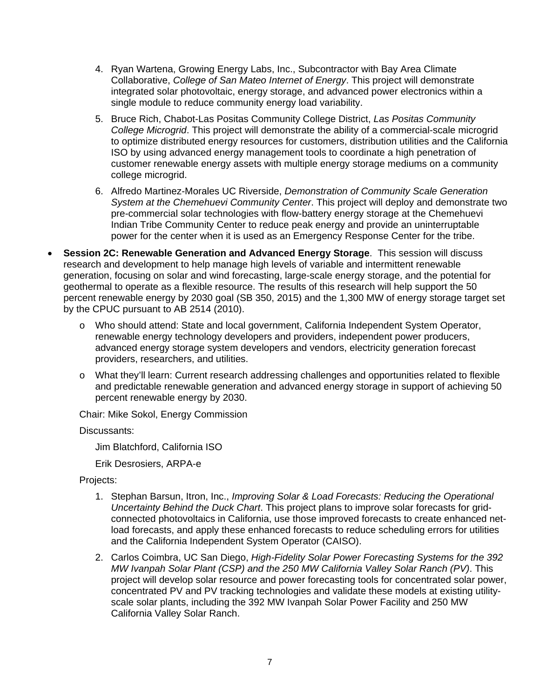- 4. Ryan Wartena, Growing Energy Labs, Inc., Subcontractor with Bay Area Climate Collaborative, *College of San Mateo Internet of Energy*. This project will demonstrate integrated solar photovoltaic, energy storage, and advanced power electronics within a single module to reduce community energy load variability.
- 5. Bruce Rich, Chabot-Las Positas Community College District, *Las Positas Community College Microgrid*. This project will demonstrate the ability of a commercial-scale microgrid to optimize distributed energy resources for customers, distribution utilities and the California ISO by using advanced energy management tools to coordinate a high penetration of customer renewable energy assets with multiple energy storage mediums on a community college microgrid.
- 6. Alfredo Martinez-Morales UC Riverside, *Demonstration of Community Scale Generation System at the Chemehuevi Community Center*. This project will deploy and demonstrate two pre-commercial solar technologies with flow-battery energy storage at the Chemehuevi Indian Tribe Community Center to reduce peak energy and provide an uninterruptable power for the center when it is used as an Emergency Response Center for the tribe.
- **Session 2C: Renewable Generation and Advanced Energy Storage**. This session will discuss research and development to help manage high levels of variable and intermittent renewable generation, focusing on solar and wind forecasting, large-scale energy storage, and the potential for geothermal to operate as a flexible resource. The results of this research will help support the 50 percent renewable energy by 2030 goal (SB 350, 2015) and the 1,300 MW of energy storage target set by the CPUC pursuant to AB 2514 (2010).
	- o Who should attend: State and local government, California Independent System Operator, renewable energy technology developers and providers, independent power producers, advanced energy storage system developers and vendors, electricity generation forecast providers, researchers, and utilities.
	- o What they'll learn: Current research addressing challenges and opportunities related to flexible and predictable renewable generation and advanced energy storage in support of achieving 50 percent renewable energy by 2030.

Chair: Mike Sokol, Energy Commission

Discussants:

Jim Blatchford, California ISO

Erik Desrosiers, ARPA-e

- 1. Stephan Barsun, Itron, Inc., *Improving Solar & Load Forecasts: Reducing the Operational Uncertainty Behind the Duck Chart*. This project plans to improve solar forecasts for gridconnected photovoltaics in California, use those improved forecasts to create enhanced netload forecasts, and apply these enhanced forecasts to reduce scheduling errors for utilities and the California Independent System Operator (CAISO).
- 2. Carlos Coimbra, UC San Diego, *High-Fidelity Solar Power Forecasting Systems for the 392 MW Ivanpah Solar Plant (CSP) and the 250 MW California Valley Solar Ranch (PV)*. This project will develop solar resource and power forecasting tools for concentrated solar power, concentrated PV and PV tracking technologies and validate these models at existing utilityscale solar plants, including the 392 MW Ivanpah Solar Power Facility and 250 MW California Valley Solar Ranch.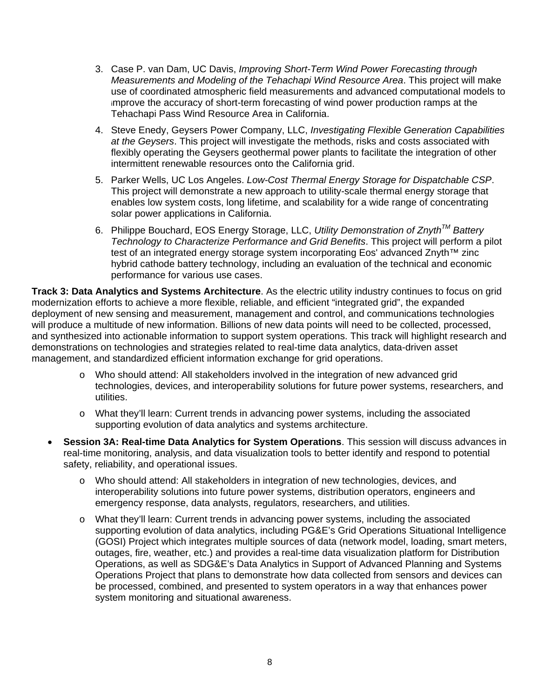- 3. Case P. van Dam, UC Davis, *Improving Short-Term Wind Power Forecasting through Measurements and Modeling of the Tehachapi Wind Resource Area*. This project will make use of coordinated atmospheric field measurements and advanced computational models to improve the accuracy of short-term forecasting of wind power production ramps at the Tehachapi Pass Wind Resource Area in California.
- 4. Steve Enedy, Geysers Power Company, LLC, *Investigating Flexible Generation Capabilities at the Geysers*. This project will investigate the methods, risks and costs associated with flexibly operating the Geysers geothermal power plants to facilitate the integration of other intermittent renewable resources onto the California grid.
- 5. Parker Wells, UC Los Angeles. *Low-Cost Thermal Energy Storage for Dispatchable CSP*. This project will demonstrate a new approach to utility-scale thermal energy storage that enables low system costs, long lifetime, and scalability for a wide range of concentrating solar power applications in California.
- 6. Philippe Bouchard, EOS Energy Storage, LLC, *Utility Demonstration of ZnythTM Battery Technology to Characterize Performance and Grid Benefits*. This project will perform a pilot test of an integrated energy storage system incorporating Eos' advanced Znyth<sup>™</sup> zinc hybrid cathode battery technology, including an evaluation of the technical and economic performance for various use cases.

**Track 3: Data Analytics and Systems Architecture**. As the electric utility industry continues to focus on grid modernization efforts to achieve a more flexible, reliable, and efficient "integrated grid", the expanded deployment of new sensing and measurement, management and control, and communications technologies will produce a multitude of new information. Billions of new data points will need to be collected, processed, and synthesized into actionable information to support system operations. This track will highlight research and demonstrations on technologies and strategies related to real-time data analytics, data-driven asset management, and standardized efficient information exchange for grid operations.

- o Who should attend: All stakeholders involved in the integration of new advanced grid technologies, devices, and interoperability solutions for future power systems, researchers, and utilities.
- o What they'll learn: Current trends in advancing power systems, including the associated supporting evolution of data analytics and systems architecture.
- **Session 3A: Real-time Data Analytics for System Operations**. This session will discuss advances in real-time monitoring, analysis, and data visualization tools to better identify and respond to potential safety, reliability, and operational issues.
	- o Who should attend: All stakeholders in integration of new technologies, devices, and interoperability solutions into future power systems, distribution operators, engineers and emergency response, data analysts, regulators, researchers, and utilities.
	- o What they'll learn: Current trends in advancing power systems, including the associated supporting evolution of data analytics, including PG&E's Grid Operations Situational Intelligence (GOSI) Project which integrates multiple sources of data (network model, loading, smart meters, outages, fire, weather, etc.) and provides a real-time data visualization platform for Distribution Operations, as well as SDG&E's Data Analytics in Support of Advanced Planning and Systems Operations Project that plans to demonstrate how data collected from sensors and devices can be processed, combined, and presented to system operators in a way that enhances power system monitoring and situational awareness.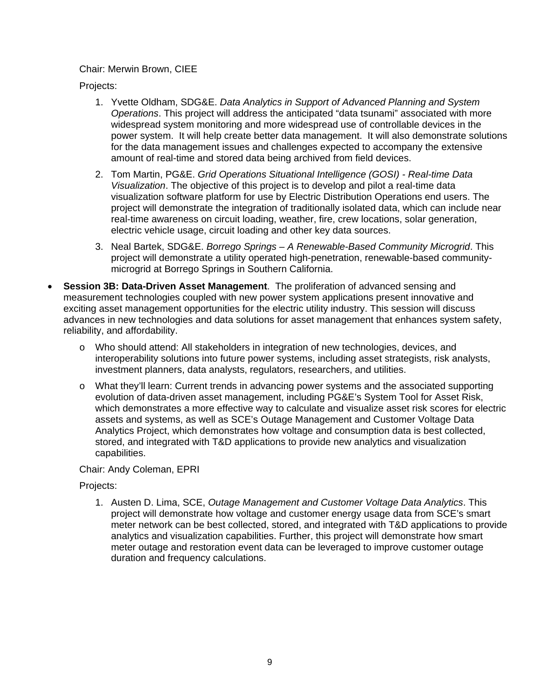### Chair: Merwin Brown, CIEE

Projects:

- 1. Yvette Oldham, SDG&E. *Data Analytics in Support of Advanced Planning and System Operations*. This project will address the anticipated "data tsunami" associated with more widespread system monitoring and more widespread use of controllable devices in the power system. It will help create better data management. It will also demonstrate solutions for the data management issues and challenges expected to accompany the extensive amount of real-time and stored data being archived from field devices.
- 2. Tom Martin, PG&E. *Grid Operations Situational Intelligence (GOSI) Real-time Data Visualization*. The objective of this project is to develop and pilot a real-time data visualization software platform for use by Electric Distribution Operations end users. The project will demonstrate the integration of traditionally isolated data, which can include near real-time awareness on circuit loading, weather, fire, crew locations, solar generation, electric vehicle usage, circuit loading and other key data sources.
- 3. Neal Bartek, SDG&E. *Borrego Springs A Renewable-Based Community Microgrid*. This project will demonstrate a utility operated high-penetration, renewable-based communitymicrogrid at Borrego Springs in Southern California.
- **Session 3B: Data-Driven Asset Management**. The proliferation of advanced sensing and measurement technologies coupled with new power system applications present innovative and exciting asset management opportunities for the electric utility industry. This session will discuss advances in new technologies and data solutions for asset management that enhances system safety, reliability, and affordability.
	- o Who should attend: All stakeholders in integration of new technologies, devices, and interoperability solutions into future power systems, including asset strategists, risk analysts, investment planners, data analysts, regulators, researchers, and utilities.
	- o What they'll learn: Current trends in advancing power systems and the associated supporting evolution of data-driven asset management, including PG&E's System Tool for Asset Risk, which demonstrates a more effective way to calculate and visualize asset risk scores for electric assets and systems, as well as SCE's Outage Management and Customer Voltage Data Analytics Project, which demonstrates how voltage and consumption data is best collected, stored, and integrated with T&D applications to provide new analytics and visualization capabilities.

Chair: Andy Coleman, EPRI

Projects:

1. Austen D. Lima, SCE, *Outage Management and Customer Voltage Data Analytics*. This project will demonstrate how voltage and customer energy usage data from SCE's smart meter network can be best collected, stored, and integrated with T&D applications to provide analytics and visualization capabilities. Further, this project will demonstrate how smart meter outage and restoration event data can be leveraged to improve customer outage duration and frequency calculations.